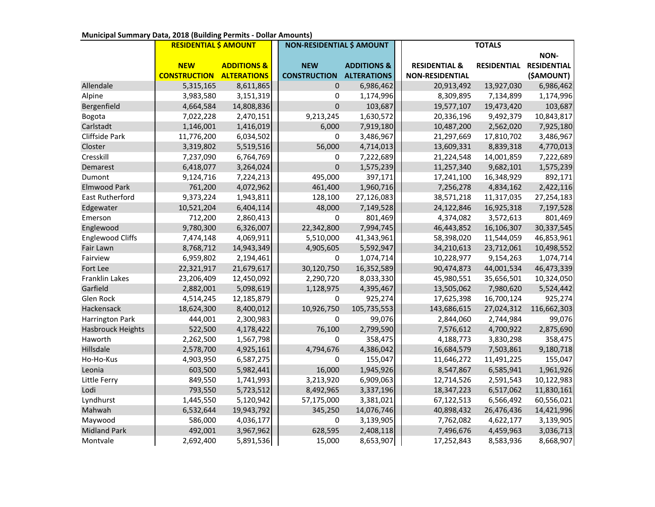|                         | <b>RESIDENTIAL \$ AMOUNT</b> |                        | <b>NON-RESIDENTIAL \$ AMOUNT</b> |                        | <b>TOTALS</b>            |                    |                    |
|-------------------------|------------------------------|------------------------|----------------------------------|------------------------|--------------------------|--------------------|--------------------|
|                         |                              |                        |                                  |                        |                          |                    | NON-               |
|                         | <b>NEW</b>                   | <b>ADDITIONS &amp;</b> | <b>NEW</b>                       | <b>ADDITIONS &amp;</b> | <b>RESIDENTIAL &amp;</b> | <b>RESIDENTIAL</b> | <b>RESIDENTIAL</b> |
|                         | <b>CONSTRUCTION</b>          | <b>ALTERATIONS</b>     | <b>CONSTRUCTION</b>              | <b>ALTERATIONS</b>     | <b>NON-RESIDENTIAL</b>   |                    | (\$AMOUNT)         |
| Allendale               | 5,315,165                    | 8,611,865              | $\mathbf 0$                      | 6,986,462              | 20,913,492               | 13,927,030         | 6,986,462          |
| Alpine                  | 3,983,580                    | 3,151,319              | 0                                | 1,174,996              | 8,309,895                | 7,134,899          | 1,174,996          |
| Bergenfield             | 4,664,584                    | 14,808,836             | 0                                | 103,687                | 19,577,107               | 19,473,420         | 103,687            |
| Bogota                  | 7,022,228                    | 2,470,151              | 9,213,245                        | 1,630,572              | 20,336,196               | 9,492,379          | 10,843,817         |
| Carlstadt               | 1,146,001                    | 1,416,019              | 6,000                            | 7,919,180              | 10,487,200               | 2,562,020          | 7,925,180          |
| Cliffside Park          | 11,776,200                   | 6,034,502              | 0                                | 3,486,967              | 21,297,669               | 17,810,702         | 3,486,967          |
| Closter                 | 3,319,802                    | 5,519,516              | 56,000                           | 4,714,013              | 13,609,331               | 8,839,318          | 4,770,013          |
| Cresskill               | 7,237,090                    | 6,764,769              | 0                                | 7,222,689              | 21,224,548               | 14,001,859         | 7,222,689          |
| Demarest                | 6,418,077                    | 3,264,024              | $\mathbf 0$                      | 1,575,239              | 11,257,340               | 9,682,101          | 1,575,239          |
| Dumont                  | 9,124,716                    | 7,224,213              | 495,000                          | 397,171                | 17,241,100               | 16,348,929         | 892,171            |
| <b>Elmwood Park</b>     | 761,200                      | 4,072,962              | 461,400                          | 1,960,716              | 7,256,278                | 4,834,162          | 2,422,116          |
| East Rutherford         | 9,373,224                    | 1,943,811              | 128,100                          | 27,126,083             | 38,571,218               | 11,317,035         | 27,254,183         |
| Edgewater               | 10,521,204                   | 6,404,114              | 48,000                           | 7,149,528              | 24,122,846               | 16,925,318         | 7,197,528          |
| Emerson                 | 712,200                      | 2,860,413              | $\mathbf 0$                      | 801,469                | 4,374,082                | 3,572,613          | 801,469            |
| Englewood               | 9,780,300                    | 6,326,007              | 22,342,800                       | 7,994,745              | 46,443,852               | 16,106,307         | 30,337,545         |
| <b>Englewood Cliffs</b> | 7,474,148                    | 4,069,911              | 5,510,000                        | 41,343,961             | 58,398,020               | 11,544,059         | 46,853,961         |
| Fair Lawn               | 8,768,712                    | 14,943,349             | 4,905,605                        | 5,592,947              | 34,210,613               | 23,712,061         | 10,498,552         |
| Fairview                | 6,959,802                    | 2,194,461              | 0                                | 1,074,714              | 10,228,977               | 9,154,263          | 1,074,714          |
| Fort Lee                | 22,321,917                   | 21,679,617             | 30,120,750                       | 16,352,589             | 90,474,873               | 44,001,534         | 46,473,339         |
| Franklin Lakes          | 23,206,409                   | 12,450,092             | 2,290,720                        | 8,033,330              | 45,980,551               | 35,656,501         | 10,324,050         |
| Garfield                | 2,882,001                    | 5,098,619              | 1,128,975                        | 4,395,467              | 13,505,062               | 7,980,620          | 5,524,442          |
| Glen Rock               | 4,514,245                    | 12,185,879             | 0                                | 925,274                | 17,625,398               | 16,700,124         | 925,274            |
| Hackensack              | 18,624,300                   | 8,400,012              | 10,926,750                       | 105,735,553            | 143,686,615              | 27,024,312         | 116,662,303        |
| Harrington Park         | 444,001                      | 2,300,983              | 0                                | 99,076                 | 2,844,060                | 2,744,984          | 99,076             |
| Hasbrouck Heights       | 522,500                      | 4,178,422              | 76,100                           | 2,799,590              | 7,576,612                | 4,700,922          | 2,875,690          |
| Haworth                 | 2,262,500                    | 1,567,798              | $\Omega$                         | 358,475                | 4,188,773                | 3,830,298          | 358,475            |
| Hillsdale               | 2,578,700                    | 4,925,161              | 4,794,676                        | 4,386,042              | 16,684,579               | 7,503,861          | 9,180,718          |
| Ho-Ho-Kus               | 4,903,950                    | 6,587,275              | 0                                | 155,047                | 11,646,272               | 11,491,225         | 155,047            |
| Leonia                  | 603,500                      | 5,982,441              | 16,000                           | 1,945,926              | 8,547,867                | 6,585,941          | 1,961,926          |
| Little Ferry            | 849,550                      | 1,741,993              | 3,213,920                        | 6,909,063              | 12,714,526               | 2,591,543          | 10,122,983         |
| Lodi                    | 793,550                      | 5,723,512              | 8,492,965                        | 3,337,196              | 18,347,223               | 6,517,062          | 11,830,161         |
| Lyndhurst               | 1,445,550                    | 5,120,942              | 57,175,000                       | 3,381,021              | 67,122,513               | 6,566,492          | 60,556,021         |
| Mahwah                  | 6,532,644                    | 19,943,792             | 345,250                          | 14,076,746             | 40,898,432               | 26,476,436         | 14,421,996         |
| Maywood                 | 586,000                      | 4,036,177              | 0                                | 3,139,905              | 7,762,082                | 4,622,177          | 3,139,905          |
| <b>Midland Park</b>     | 492,001                      | 3,967,962              | 628,595                          | 2,408,118              | 7,496,676                | 4,459,963          | 3,036,713          |
| Montvale                | 2,692,400                    | 5,891,536              | 15,000                           | 8,653,907              | 17,252,843               | 8,583,936          | 8,668,907          |

## **Municipal Summary Data, 2018 (Building Permits - Dollar Amounts)**